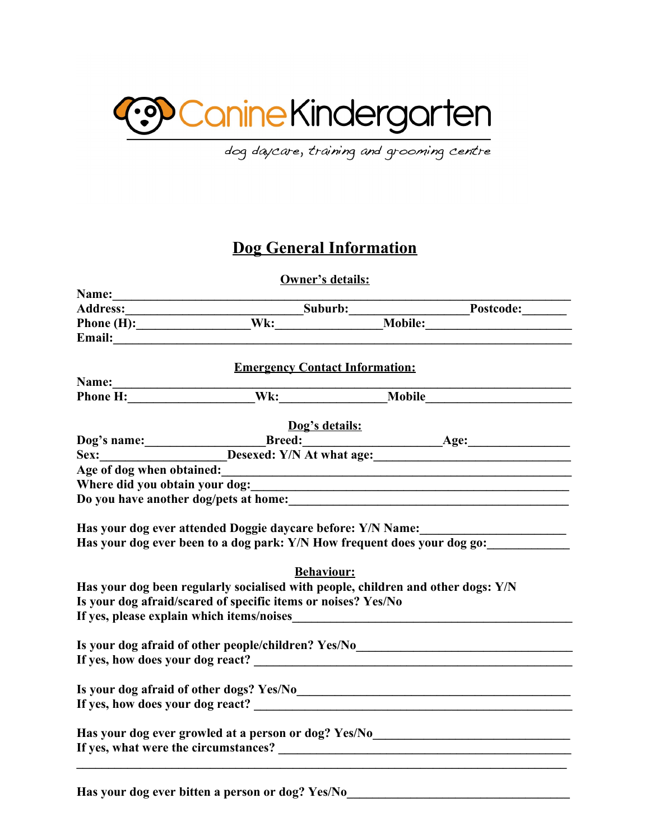

dog daycare, training and grooming centre

## **Dog General Information**

**Owner's details:**

| Address: Suburb: Postcode: Phone (H): Noble: Postcode: Phone (H): Noble: Noble: Noble: Noble:<br><b>Emergency Contact Information:</b><br>Dog's details:<br>Dog's name: Breed: Breed: Breed: Age: Age:<br>Age of dog when obtained:<br><u>example and</u> the state of dog when obtained:<br>Where did you obtain your dog:<br>Has your dog ever attended Doggie daycare before: Y/N Name:_____________________<br>Has your dog ever been to a dog park: Y/N How frequent does your dog go:<br><b>Behaviour:</b><br>Has your dog been regularly socialised with people, children and other dogs: Y/N<br>Is your dog afraid/scared of specific items or noises? Yes/No<br>Is your dog afraid of other people/children? Yes/No_____________________________<br>Is your dog afraid of other dogs? Yes/No<br><u>Letting and the contract of the contract of the contract of the contract of the contract of the contract of the contract of the contract of the contract of the contract of the con</u><br>Has your dog ever growled at a person or dog? Yes/No____________________________ |       |  |
|-----------------------------------------------------------------------------------------------------------------------------------------------------------------------------------------------------------------------------------------------------------------------------------------------------------------------------------------------------------------------------------------------------------------------------------------------------------------------------------------------------------------------------------------------------------------------------------------------------------------------------------------------------------------------------------------------------------------------------------------------------------------------------------------------------------------------------------------------------------------------------------------------------------------------------------------------------------------------------------------------------------------------------------------------------------------------------------------|-------|--|
|                                                                                                                                                                                                                                                                                                                                                                                                                                                                                                                                                                                                                                                                                                                                                                                                                                                                                                                                                                                                                                                                                         |       |  |
|                                                                                                                                                                                                                                                                                                                                                                                                                                                                                                                                                                                                                                                                                                                                                                                                                                                                                                                                                                                                                                                                                         |       |  |
|                                                                                                                                                                                                                                                                                                                                                                                                                                                                                                                                                                                                                                                                                                                                                                                                                                                                                                                                                                                                                                                                                         |       |  |
|                                                                                                                                                                                                                                                                                                                                                                                                                                                                                                                                                                                                                                                                                                                                                                                                                                                                                                                                                                                                                                                                                         |       |  |
|                                                                                                                                                                                                                                                                                                                                                                                                                                                                                                                                                                                                                                                                                                                                                                                                                                                                                                                                                                                                                                                                                         |       |  |
|                                                                                                                                                                                                                                                                                                                                                                                                                                                                                                                                                                                                                                                                                                                                                                                                                                                                                                                                                                                                                                                                                         | Name: |  |
|                                                                                                                                                                                                                                                                                                                                                                                                                                                                                                                                                                                                                                                                                                                                                                                                                                                                                                                                                                                                                                                                                         |       |  |
|                                                                                                                                                                                                                                                                                                                                                                                                                                                                                                                                                                                                                                                                                                                                                                                                                                                                                                                                                                                                                                                                                         |       |  |
|                                                                                                                                                                                                                                                                                                                                                                                                                                                                                                                                                                                                                                                                                                                                                                                                                                                                                                                                                                                                                                                                                         |       |  |
|                                                                                                                                                                                                                                                                                                                                                                                                                                                                                                                                                                                                                                                                                                                                                                                                                                                                                                                                                                                                                                                                                         |       |  |
|                                                                                                                                                                                                                                                                                                                                                                                                                                                                                                                                                                                                                                                                                                                                                                                                                                                                                                                                                                                                                                                                                         |       |  |
|                                                                                                                                                                                                                                                                                                                                                                                                                                                                                                                                                                                                                                                                                                                                                                                                                                                                                                                                                                                                                                                                                         |       |  |
|                                                                                                                                                                                                                                                                                                                                                                                                                                                                                                                                                                                                                                                                                                                                                                                                                                                                                                                                                                                                                                                                                         |       |  |
|                                                                                                                                                                                                                                                                                                                                                                                                                                                                                                                                                                                                                                                                                                                                                                                                                                                                                                                                                                                                                                                                                         |       |  |
|                                                                                                                                                                                                                                                                                                                                                                                                                                                                                                                                                                                                                                                                                                                                                                                                                                                                                                                                                                                                                                                                                         |       |  |
|                                                                                                                                                                                                                                                                                                                                                                                                                                                                                                                                                                                                                                                                                                                                                                                                                                                                                                                                                                                                                                                                                         |       |  |
|                                                                                                                                                                                                                                                                                                                                                                                                                                                                                                                                                                                                                                                                                                                                                                                                                                                                                                                                                                                                                                                                                         |       |  |
|                                                                                                                                                                                                                                                                                                                                                                                                                                                                                                                                                                                                                                                                                                                                                                                                                                                                                                                                                                                                                                                                                         |       |  |
|                                                                                                                                                                                                                                                                                                                                                                                                                                                                                                                                                                                                                                                                                                                                                                                                                                                                                                                                                                                                                                                                                         |       |  |
|                                                                                                                                                                                                                                                                                                                                                                                                                                                                                                                                                                                                                                                                                                                                                                                                                                                                                                                                                                                                                                                                                         |       |  |
|                                                                                                                                                                                                                                                                                                                                                                                                                                                                                                                                                                                                                                                                                                                                                                                                                                                                                                                                                                                                                                                                                         |       |  |
|                                                                                                                                                                                                                                                                                                                                                                                                                                                                                                                                                                                                                                                                                                                                                                                                                                                                                                                                                                                                                                                                                         |       |  |
|                                                                                                                                                                                                                                                                                                                                                                                                                                                                                                                                                                                                                                                                                                                                                                                                                                                                                                                                                                                                                                                                                         |       |  |
|                                                                                                                                                                                                                                                                                                                                                                                                                                                                                                                                                                                                                                                                                                                                                                                                                                                                                                                                                                                                                                                                                         |       |  |
|                                                                                                                                                                                                                                                                                                                                                                                                                                                                                                                                                                                                                                                                                                                                                                                                                                                                                                                                                                                                                                                                                         |       |  |
|                                                                                                                                                                                                                                                                                                                                                                                                                                                                                                                                                                                                                                                                                                                                                                                                                                                                                                                                                                                                                                                                                         |       |  |
|                                                                                                                                                                                                                                                                                                                                                                                                                                                                                                                                                                                                                                                                                                                                                                                                                                                                                                                                                                                                                                                                                         |       |  |
|                                                                                                                                                                                                                                                                                                                                                                                                                                                                                                                                                                                                                                                                                                                                                                                                                                                                                                                                                                                                                                                                                         |       |  |

Has your dog ever bitten a person or dog? Yes/No\_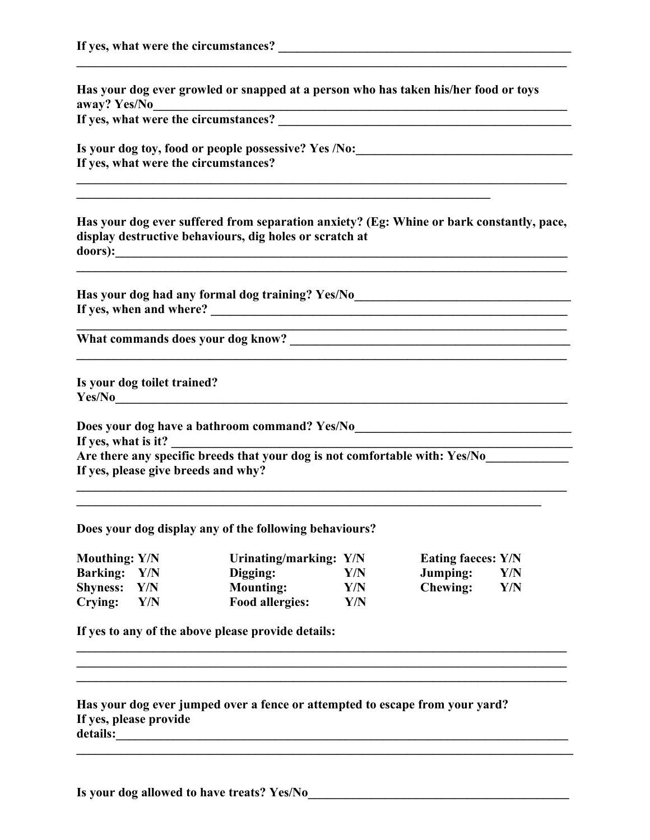| Has your dog ever growled or snapped at a person who has taken his/her food or toys<br>away? Yes/No                                                 |  |  |  |  |
|-----------------------------------------------------------------------------------------------------------------------------------------------------|--|--|--|--|
|                                                                                                                                                     |  |  |  |  |
| Is your dog toy, food or people possessive? Yes /No:____________________________                                                                    |  |  |  |  |
| If yes, what were the circumstances?<br>,我们也不会有什么。""我们的人,我们也不会有什么?""我们的人,我们也不会有什么?""我们的人,我们的人,我们的人,我们的人,我们的人,我们的人,我们的人,我                            |  |  |  |  |
| Has your dog ever suffered from separation anxiety? (Eg: Whine or bark constantly, pace,<br>display destructive behaviours, dig holes or scratch at |  |  |  |  |
| Has your dog had any formal dog training? Yes/No________________________________                                                                    |  |  |  |  |
| <u> 1989 - Johann John Stone, mars and deutscher Stone († 1989)</u>                                                                                 |  |  |  |  |
| Is your dog toilet trained?                                                                                                                         |  |  |  |  |
| Does your dog have a bathroom command? Yes/No___________________________________<br>If yes, what is it?                                             |  |  |  |  |
| Are there any specific breeds that your dog is not comfortable with: Yes/No<br>If yes, please give breeds and why?                                  |  |  |  |  |
| Does your dog display any of the following behaviours?                                                                                              |  |  |  |  |

**\_\_\_\_\_\_\_\_\_\_\_\_\_\_\_\_\_\_\_\_\_\_\_\_\_\_\_\_\_\_\_\_\_\_\_\_\_\_\_\_\_\_\_\_\_\_\_\_\_\_\_\_\_\_\_\_\_\_\_\_\_\_\_\_\_\_\_\_\_\_\_\_\_\_\_\_\_**

| <b>Mouthing: Y/N</b> |     | Urinating/marking: Y/N |     | <b>Eating faeces: Y/N</b> |     |
|----------------------|-----|------------------------|-----|---------------------------|-----|
| <b>Barking:</b> Y/N  |     | Digging:               | Y/N | Jumping:                  | Y/N |
| Shyness: Y/N         |     | <b>Mounting:</b>       | Y/N | <b>Chewing:</b>           | Y/N |
| Crying:              | Y/N | <b>Food allergies:</b> | Y/N |                           |     |

**\_\_\_\_\_\_\_\_\_\_\_\_\_\_\_\_\_\_\_\_\_\_\_\_\_\_\_\_\_\_\_\_\_\_\_\_\_\_\_\_\_\_\_\_\_\_\_\_\_\_\_\_\_\_\_\_\_\_\_\_\_\_\_\_\_\_\_\_\_\_\_\_\_\_\_\_\_ \_\_\_\_\_\_\_\_\_\_\_\_\_\_\_\_\_\_\_\_\_\_\_\_\_\_\_\_\_\_\_\_\_\_\_\_\_\_\_\_\_\_\_\_\_\_\_\_\_\_\_\_\_\_\_\_\_\_\_\_\_\_\_\_\_\_\_\_\_\_\_\_\_\_\_\_\_ \_\_\_\_\_\_\_\_\_\_\_\_\_\_\_\_\_\_\_\_\_\_\_\_\_\_\_\_\_\_\_\_\_\_\_\_\_\_\_\_\_\_\_\_\_\_\_\_\_\_\_\_\_\_\_\_\_\_\_\_\_\_\_\_\_\_\_\_\_\_\_\_\_\_\_\_\_**

**If yes to any of the above please provide details:**

| Has your dog ever jumped over a fence or attempted to escape from your yard? |  |
|------------------------------------------------------------------------------|--|
| If yes, please provide                                                       |  |
| details:                                                                     |  |
|                                                                              |  |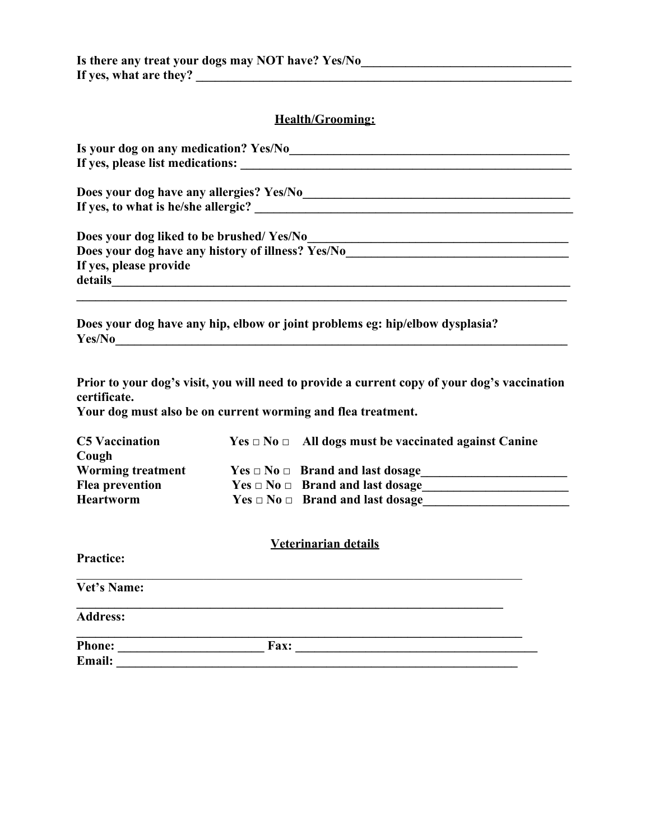## **Health/Grooming:**

| Is your dog on any medication? Yes/No             |  |
|---------------------------------------------------|--|
| If yes, please list medications:                  |  |
| Does your dog have any allergies? Yes/No          |  |
| If yes, to what is he/she allergic?               |  |
| Does your dog liked to be brushed/Yes/No          |  |
| Does your dog have any history of illness? Yes/No |  |
| If yes, please provide                            |  |
| details                                           |  |
|                                                   |  |
|                                                   |  |

**Does your dog have any hip, elbow or joint problems eg: hip/elbow dysplasia? Yes/No\_\_\_\_\_\_\_\_\_\_\_\_\_\_\_\_\_\_\_\_\_\_\_\_\_\_\_\_\_\_\_\_\_\_\_\_\_\_\_\_\_\_\_\_\_\_\_\_\_\_\_\_\_\_\_\_\_\_\_\_\_\_\_\_\_\_\_\_\_\_\_**

**Prior to your dog's visit, you will need to provide a current copy of your dog's vaccination certificate.**

**Your dog must also be on current worming and flea treatment.**

| <b>C5 Vaccination</b>    | $Yes \Box No \Box$ All dogs must be vaccinated against Canine |
|--------------------------|---------------------------------------------------------------|
| Cough                    |                                                               |
| <b>Worming treatment</b> | $Yes \square No \square$ Brand and last dosage                |
| <b>Flea prevention</b>   | $Yes \Box No \Box$ Brand and last dosage                      |
| <b>Heartworm</b>         | $Yes \square No \square$ Brand and last dosage                |

| <b>Veterinarian details</b> |      |  |  |
|-----------------------------|------|--|--|
| <b>Practice:</b>            |      |  |  |
| Vet's Name:                 |      |  |  |
| <b>Address:</b>             |      |  |  |
| <b>Phone:</b>               | Fax: |  |  |
| Email:                      |      |  |  |